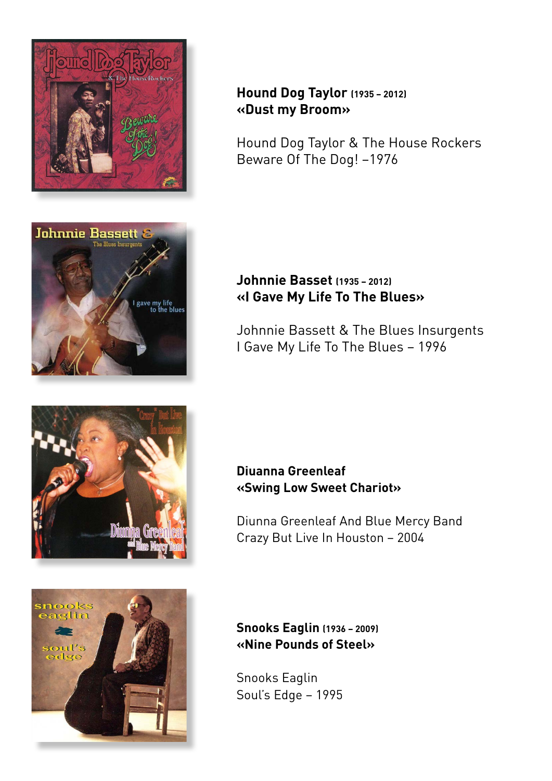



# **Hound Dog Taylor (1935 – 2012) «Dust my Broom»**

Hound Dog Taylor & The House Rockers Beware Of The Dog! –1976

### **Johnnie Basset (1935 – 2012) «I Gave My Life To The Blues»**

Johnnie Bassett & The Blues Insurgents I Gave My Life To The Blues – 1996





**Diuanna Greenleaf «Swing Low Sweet Chariot»**

Diunna Greenleaf And Blue Mercy Band Crazy But Live In Houston – 2004

**Snooks Eaglin (1936 – 2009) «Nine Pounds of Steel»**

Snooks Eaglin Soul's Edge – 1995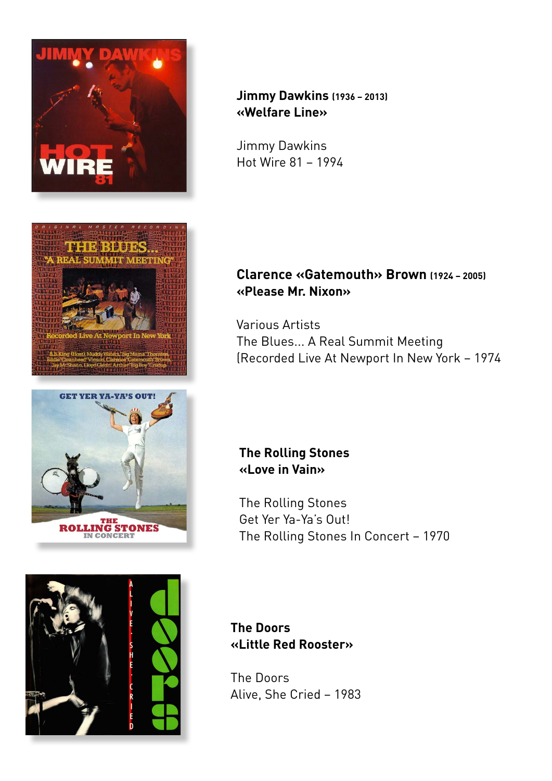







**Jimmy Dawkins (1936 – 2013) «Welfare Line»**

Jimmy Dawkins Hot Wire 81 – 1994

## **Clarence «Gatemouth» Brown (1924 – 2005) «Please Mr. Nixon»**

Various Artists The Blues... A Real Summit Meeting (Recorded Live At Newport In New York – 1974

### **The Rolling Stones «Love in Vain»**

The Rolling Stones Get Yer Ya-Ya's Out! The Rolling Stones In Concert – 1970

**The Doors «Little Red Rooster»**

The Doors Alive, She Cried – 1983